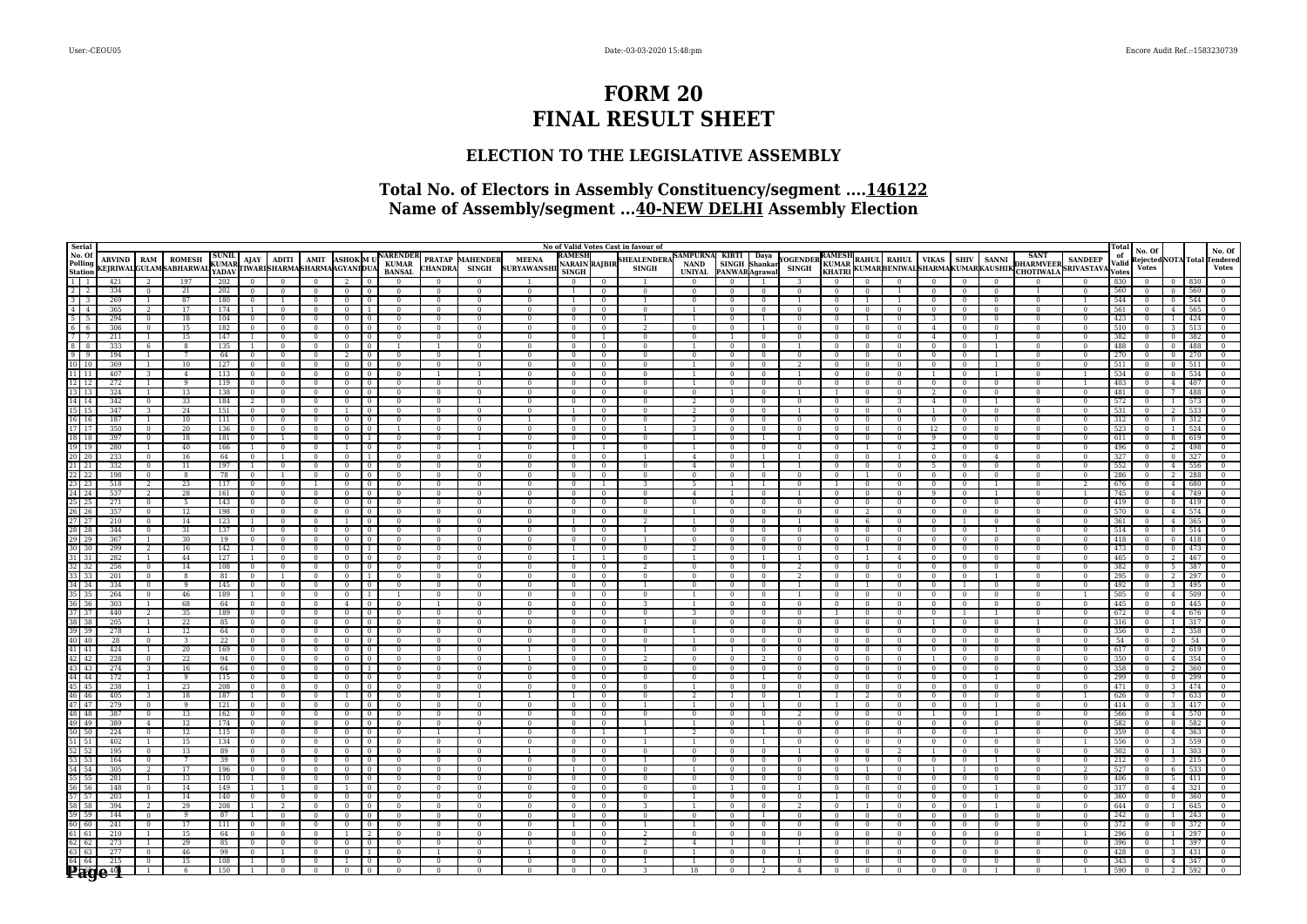# **FORM 20 FINAL RESULT SHEET**

## **ELECTION TO THE LEGISLATIVE ASSEMBLY**

## **Total No. of Electors in Assembly Constituency/segment ....146122 Name of Assembly/segment ...40-NEW DELHI Assembly Election**

| Serial                                                                                                                                            |                   |                                  |                                                |                                |                                  |                          |                                            |                                  |                            |                                     |                                  |                                        |                                    |                                                |                                  | No of Valid Votes Cast in favour of |                                                 |                              |                                             |                                |                                         |                          |                                                       |                              |                                  |                          |                            |                          | Total                |                        |                |            |                                                        |
|---------------------------------------------------------------------------------------------------------------------------------------------------|-------------------|----------------------------------|------------------------------------------------|--------------------------------|----------------------------------|--------------------------|--------------------------------------------|----------------------------------|----------------------------|-------------------------------------|----------------------------------|----------------------------------------|------------------------------------|------------------------------------------------|----------------------------------|-------------------------------------|-------------------------------------------------|------------------------------|---------------------------------------------|--------------------------------|-----------------------------------------|--------------------------|-------------------------------------------------------|------------------------------|----------------------------------|--------------------------|----------------------------|--------------------------|----------------------|------------------------|----------------|------------|--------------------------------------------------------|
| No. Of<br>Polling<br><b>Station</b>                                                                                                               | <b>ARVIND</b>     | <b>RAM</b>                       | <b>ROMESH</b><br><b>KEJRIWALGULAMSABHARWAL</b> | <b>SUNIL</b><br>KUMAR<br>YADAV |                                  | $AIAY$   ADITI           | <b>AMIT</b><br>TIWARISHARMASHARMAAGYANIDUA |                                  |                            | ASHOK M U NARENDER<br><b>BANSAL</b> | <b>CHANDRA</b>                   | <b>PRATAP MAHENDER</b><br><b>SINGH</b> | <b>MEENA</b><br><b>SURYAWANSHI</b> | <b>RAMESI</b><br>NARAIN RAJBIR<br><b>SINGH</b> |                                  | <b>HEALENDER</b><br><b>SINGH</b>    | <b>SAMPURNA</b><br><b>NAND</b><br><b>UNIYAL</b> |                              | KIRTI Daya<br>SINGH Shankar<br>ANWARAqrawal | <b>OGENDER</b><br><b>SINGH</b> | RAMESH<br><b>KUMAR</b><br><b>KHATRI</b> |                          | RAHUL RAHUL   VIKAS<br>KUMARBENIWALSHARMAKUMARKAUSHIK |                              | <b>SHIV</b>                      | <b>SANNI</b>             |                            | <b>DHARMVEER</b> SANDEEP | of<br>Valid<br>Votes | No. Of<br><b>Votes</b> |                |            | No. Of<br>Rejected NOTA Total Tendered<br><b>Votes</b> |
| $1\overline{1}$                                                                                                                                   | 421               |                                  | 197                                            | 202                            |                                  |                          |                                            |                                  |                            | $\Omega$                            |                                  | $\Omega$                               |                                    |                                                |                                  |                                     |                                                 |                              |                                             |                                | $\Omega$                                |                          |                                                       |                              | $\Omega$                         | $\Omega$                 |                            |                          | 830                  |                        |                |            |                                                        |
| $\sqrt{2}$                                                                                                                                        | 334               | $\Omega$                         | 21                                             | 202                            | $\overline{0}$                   |                          | $\theta$                                   | $\overline{0}$                   | $\Omega$                   | $\Omega$                            | $\Omega$                         | $\Omega$                               | $\Omega$                           |                                                | $\Omega$                         | $\Omega$                            | $\Omega$                                        | $\Omega$                     | $\Omega$                                    | $\Omega$                       | $\Omega$                                |                          |                                                       | $\Omega$                     | $\Omega$                         | $\Omega$                 |                            |                          | 560                  |                        | $\Omega$       | 560        | $\Omega$                                               |
| 313                                                                                                                                               | 269               |                                  | 87                                             | 180                            | $\overline{0}$                   |                          | $\overline{0}$                             | $\overline{0}$                   | $\overline{0}$             | $\overline{0}$                      | $\sqrt{2}$                       | $\Omega$                               | $\Omega$                           |                                                | $\sqrt{2}$                       | 1                                   | $\sqrt{2}$                                      | $\sqrt{2}$                   | $\overline{0}$                              |                                | $\overline{0}$                          |                          |                                                       | $\overline{0}$               | $\overline{0}$                   | $\sqrt{2}$               | $\Omega$                   |                          | 544                  | $\Omega$               | $\Omega$       | 544        | $\Omega$                                               |
| 414                                                                                                                                               | 365               |                                  | 17                                             | 174                            | $\mathbf{1}$                     |                          | $\mathbf{0}$                               | $\overline{0}$                   |                            | $\Omega$                            | $\Omega$                         | $\Omega$                               |                                    | $\mathbf{0}$                                   | $\Omega$                         | $\Omega$                            |                                                 | $\Omega$                     | $\mathbf{0}$                                | $\Omega$                       | $\mathbf{0}$                            |                          |                                                       |                              | $\Omega$                         | $\Omega$                 | $\Omega$                   | $\Omega$                 | 561                  |                        |                | 565        |                                                        |
| $5 \mid 5$                                                                                                                                        | 294               | $\mathbf{0}$                     | 18                                             | 104                            | $\overline{0}$                   | $\mathbf{0}$             | $\bf{0}$                                   | $\overline{0}$                   | $\Omega$                   | $\overline{0}$                      | $\mathbf{0}$                     | $\mathbf{0}$                           |                                    | $\mathbf{0}$                                   | $\overline{0}$                   |                                     | $\overline{1}$                                  | $\mathbf{0}$                 | -1                                          | $\mathbf{0}$                   | $\mathbf{0}$                            |                          | $\Omega$                                              |                              | $\mathbf{0}$                     | $\Omega$                 | $\mathbf{0}$               | $\mathbf{0}$             | 423                  |                        |                | 424        |                                                        |
| 666                                                                                                                                               | 306               | $\Omega$                         | 15                                             | 182                            | $\mathbf{0}$                     | $\Omega$                 | $\mathbf{0}$                               | $\overline{0}$                   |                            | $\Omega$                            | $\Omega$                         | $\Omega$                               | $\Omega$                           | $\Omega$                                       | $\Omega$                         | 2                                   | $\Omega$                                        | $\Omega$                     | $\overline{1}$                              | $\Omega$                       | $\Omega$                                | $^{\circ}$               | $\Omega$                                              | $\overline{4}$               | $\Omega$                         | $\Omega$                 | $\Omega$                   | $\Omega$                 | 510                  |                        |                | 513        |                                                        |
| 77                                                                                                                                                | 211               | $\overline{1}$                   | 15                                             | 147                            | $\mathbf{1}$                     | $\Omega$                 | $\Omega$                                   | $\mathbf{0}$                     | $\Omega$                   | $\Omega$                            | $\Omega$                         | $\Omega$                               | $\Omega$                           | $\bf{0}$                                       | -1                               | $\Omega$                            | $\Omega$                                        | -1                           | $\overline{0}$                              | $\Omega$                       | $\Omega$                                |                          | $\Omega$                                              | $\overline{4}$               | $\Omega$                         |                          | $\Omega$                   | $\Omega$                 | 382                  |                        |                | 382        |                                                        |
| 878                                                                                                                                               | 333               | -6                               | $\overline{8}$                                 | 135                            | $\mathbf{1}$                     | $\mathbf{0}$             | $\overline{0}$                             | $\overline{0}$                   | $\overline{0}$             |                                     |                                  | $\mathbf{0}$                           | $\Omega$                           | $\overline{0}$                                 | $\overline{0}$                   | $\mathbf{0}$                        | $\overline{1}$                                  | $\Omega$                     | $\overline{0}$                              |                                | $\mathbf{0}$                            |                          | $\mathbf{0}$                                          | $\mathbf{0}$                 | $\overline{0}$                   |                          | $\Omega$                   |                          | 488                  |                        |                | 488        |                                                        |
| 919                                                                                                                                               | 194               | $\overline{1}$                   |                                                | 64                             | $\overline{0}$                   |                          | $\overline{0}$                             | $\overline{2}$                   | $\overline{0}$             | $\Omega$                            | $\overline{0}$                   |                                        |                                    | $\sqrt{ }$                                     | $\overline{0}$                   | $\overline{0}$                      | $\sqrt{2}$                                      | $\sqrt{ }$                   | $\overline{0}$                              |                                | $\sqrt{ }$                              |                          |                                                       | $\Omega$                     | $\overline{0}$                   |                          |                            |                          | 270                  |                        |                |            |                                                        |
| $10$   10                                                                                                                                         | 369               |                                  | 10                                             | 127                            | $\mathbf{0}$                     |                          | $\Omega$                                   | $\overline{0}$                   | $\overline{0}$             | $\Omega$                            | $\Omega$                         | $\Omega$                               |                                    | $\Omega$                                       | $\Omega$                         | $\Omega$                            |                                                 | $\Omega$                     | $\Omega$                                    |                                | $\mathbf{0}$                            | $\overline{0}$           | $\Omega$                                              | $\Omega$                     | $\Omega$                         |                          | $\Omega$                   |                          | 511                  |                        |                |            |                                                        |
| $11$   11                                                                                                                                         | 407               | 3                                | $\overline{4}$                                 | 113                            | $\overline{0}$                   | $\Omega$                 | $\mathbf{0}$                               | $\mathbf{0}$                     | $\Omega$                   | $\mathbf{0}$                        |                                  |                                        |                                    | $\bf{0}$                                       | $\Omega$                         | $\Omega$                            |                                                 |                              | $\mathbf{0}$                                |                                | $\bf{0}$                                | $\Omega$                 | $\mathbf{0}$                                          |                              | $\overline{0}$                   |                          | $\Omega$                   |                          | 534                  |                        |                | 534        |                                                        |
| $\boxed{12}$ $\boxed{12}$<br>$\frac{13}{13}$ 13                                                                                                   | 272               | $\overline{1}$                   | 9                                              | 119                            | $\overline{0}$                   | $\Omega$                 | $\Omega$                                   | $\overline{0}$                   | $\Omega$                   | $\Omega$                            | $\Omega$                         | $\Omega$                               |                                    | $\mathbf{0}$                                   | $\overline{0}$                   | $\Omega$                            |                                                 | $\Omega$                     | $\overline{0}$                              |                                | $\Omega$                                | $\Omega$                 | $\Omega$                                              | $\overline{0}$               | $\overline{0}$                   | $\Omega$                 | $\Omega$                   |                          | 403                  |                        |                | 407        |                                                        |
| $14$ 14                                                                                                                                           | 324               | $\overline{1}$                   | 13<br>33                                       | 138<br>184                     | $\mathbf{0}$                     | $\Omega$                 | $\Omega$<br>$^{\circ}$                     | $\overline{0}$                   |                            | $\Omega$<br>$\Omega$                | $\Omega$<br>$^{\circ}$           | $\Omega$                               | $\Omega$<br>$\Omega$               | $\bf{0}$                                       | $\Omega$                         | $\Omega$                            | $\Omega$                                        | $\overline{1}$               | $\Omega$                                    | $\Omega$                       |                                         | $^{\circ}$<br>$^{\circ}$ | $\Omega$                                              | 2                            | $\Omega$                         | $\Omega$<br>-1.          | $\Omega$<br>$^{\circ}$     | $\Omega$<br>$\Omega$     | 481<br>572           |                        |                | 488<br>573 | $\Omega$                                               |
| $15$   15                                                                                                                                         | 342<br>347        | $\mathbf{0}$                     | 24                                             | 151                            | 2<br>$\overline{0}$              |                          |                                            | $\overline{0}$                   |                            | $\overline{0}$                      | $\Omega$                         | $\mathbf{0}$                           |                                    | $\bf{0}$                                       | $\mathbf{0}$<br>$\mathbf{0}$     | $\mathbf{0}$<br>$\mathbf{0}$        | 2                                               | $\mathbf{0}$<br>$\mathbf{0}$ | $\overline{0}$<br>$\mathbf{0}$              |                                | $\bf{0}$<br>$\mathbf{0}$                |                          | -3                                                    | 4                            | $\overline{0}$<br>$\overline{0}$ | $\Omega$                 |                            |                          | 531                  |                        |                |            |                                                        |
| 16 16                                                                                                                                             | 187               | $\overline{1}$                   | 10                                             | 111                            | $\mathbf{0}$                     |                          | $\Omega$                                   | $\mathbf{0}$                     |                            | $\Omega$                            | $\overline{0}$                   | $\Omega$                               |                                    | $\Omega$                                       | $\overline{0}$                   | $\Omega$                            | $\overline{2}$                                  | $\Omega$                     | $\Omega$                                    | $\Omega$                       | $\Omega$                                |                          |                                                       | $\overline{0}$               | $\overline{0}$                   | $\Omega$                 | $\Omega$                   | $\Omega$                 | 312                  |                        |                |            |                                                        |
| 17 17                                                                                                                                             | 350               | $\Omega$                         | 20                                             | 136                            | $\overline{0}$                   |                          | $\Omega$                                   | $\overline{0}$                   | $\Omega$                   |                                     | $\Omega$                         | $\Omega$                               | $\Omega$                           | $\mathbf{0}$                                   | $\Omega$                         |                                     | $\mathcal{L}$                                   | $\Omega$                     | $\Omega$                                    | $\Omega$                       | $\bf{0}$                                | $\Omega$                 | $\Omega$                                              | 12                           | $\overline{0}$                   | $\Omega$                 | $\Omega$                   | $\Omega$                 | 523                  |                        |                | 524        |                                                        |
| 18 18                                                                                                                                             | 397               | $\Omega$                         | 18                                             | 181                            | $\overline{0}$                   |                          | $\mathbf{0}$                               | $\overline{0}$                   | $\overline{1}$             | $\Omega$                            | $\bf{0}$                         |                                        |                                    | $\bf{0}$                                       | $\Omega$                         | $\Omega$                            |                                                 | $\Omega$                     |                                             |                                | $\bf{0}$                                |                          | $\Omega$                                              | $\Omega$                     | $\overline{0}$                   | $\Omega$                 | $\Omega$                   | $\Omega$                 | 611                  |                        |                | 619        |                                                        |
| $19$ $19$                                                                                                                                         | 280               | $\overline{1}$                   | 40                                             | 166                            | $\overline{1}$                   | $\overline{0}$           | $\overline{0}$                             | $\overline{1}$                   | $\Omega$                   | $\overline{0}$                      | $\overline{0}$                   |                                        | $\Omega$                           |                                                | $\overline{1}$                   | $\overline{0}$                      | $\overline{1}$                                  | $\overline{0}$               | $\overline{0}$                              | $\overline{0}$                 | $\overline{0}$                          |                          | $\Omega$                                              | $2^{1}$                      | $\overline{0}$                   | $\Omega$                 | $\overline{0}$             | $\overline{0}$           | 496                  | $\Omega$               |                |            |                                                        |
| 20 20                                                                                                                                             | 233               | $\Omega$                         | 16                                             | 64                             | $\overline{0}$                   |                          | $\overline{0}$                             | $\overline{0}$                   | $\overline{1}$             | $\Omega$                            | $\Omega$                         | $\Omega$                               | $\Omega$                           | $\Omega$                                       | $\Omega$                         |                                     | $\overline{4}$                                  | $\Omega$                     | $\overline{1}$                              |                                | $\Omega$                                | $\Omega$                 |                                                       | $\Omega$                     | $\Omega$                         | $\overline{4}$           | $\Omega$                   | $\Omega$                 | 327                  |                        |                | 327        |                                                        |
| $21$ $21$                                                                                                                                         | 332               | $\Omega$                         | 11                                             | 197                            | $\overline{1}$                   | $\Omega$                 | $\Omega$                                   | $\mathbf{0}$                     | $\Omega$                   | $\Omega$                            | $\Omega$                         | $\Omega$                               | $\Omega$                           | $\overline{0}$                                 | $\Omega$                         | $\mathbf{0}$                        | $\overline{4}$                                  | $\Omega$                     | -1                                          |                                | $\Omega$                                | $\Omega$                 | $\Omega$                                              | 5                            | $\Omega$                         | $\Omega$                 | $\Omega$                   | $\Omega$                 | 552                  |                        | $\mathbf{A}$   | 556        |                                                        |
| $22 \mid 22$                                                                                                                                      | 198               | $\mathbf{0}$                     | -8                                             | 78                             | $\mathbf{0}$                     |                          | $\theta$                                   | $\mathbf{0}$                     |                            | $\overline{0}$                      | $\mathbf{0}$                     | $\mathbf{0}$                           |                                    | $\overline{0}$                                 | $\overline{0}$                   | $\mathbf{0}$                        | $\mathbf{0}$                                    | $\mathbf{0}$                 | $\overline{0}$                              |                                | $\mathbf{0}$                            |                          | $\mathbf{0}$                                          | $\mathbf{0}$                 | $\overline{0}$                   | $\Omega$                 | $\Omega$                   |                          | 286                  |                        |                |            |                                                        |
| $23$ 23                                                                                                                                           | 518               | $\overline{2}$                   | 23                                             | 117                            | $\mathbf{0}$                     |                          |                                            | $\mathbf{0}$                     | $\Omega$                   | $\Omega$                            | $\Omega$                         |                                        |                                    |                                                | $\overline{1}$                   |                                     |                                                 |                              |                                             |                                |                                         |                          |                                                       | $\Omega$                     | $\overline{0}$                   |                          |                            |                          | 676                  |                        |                |            |                                                        |
| 24 24                                                                                                                                             | 537               | $\overline{2}$                   | 28                                             | 161                            | $\overline{0}$                   | $\Omega$                 | $\Omega$                                   | $\overline{0}$                   | $\Omega$                   | $\overline{0}$                      | $\Omega$                         | $\Omega$                               | $\Omega$                           | $\overline{0}$                                 | $\overline{0}$                   | $\overline{0}$                      | $\overline{4}$                                  | $\overline{1}$               | $\Omega$                                    |                                | $\Omega$                                | $\Omega$                 | $\Omega$                                              | 9                            | $\overline{0}$                   | $\mathbf{1}$             | $\Omega$                   |                          | 745                  |                        |                | 749        |                                                        |
| $25 \mid 25 \mid$                                                                                                                                 | 271               | $\overline{0}$                   | 5                                              | 143                            | $\overline{0}$                   |                          | $\overline{0}$                             | $\overline{0}$                   | $\overline{0}$             | $\overline{0}$                      | $\sqrt{2}$                       | $\overline{0}$                         |                                    | $\overline{0}$                                 | $\sqrt{0}$                       | $\overline{0}$                      | $\overline{0}$                                  | $\overline{0}$               | $\overline{0}$                              | $\sqrt{ }$                     | $\overline{0}$                          | $\sqrt{2}$               | $\overline{0}$                                        | $\overline{0}$               | $\overline{0}$                   | $\sqrt{2}$               | $\overline{0}$             |                          | 419                  |                        |                |            |                                                        |
| $\begin{array}{r}\n 26 \overline{)26} \\  \hline\n 27 \overline{)27} \\  \hline\n 28 \overline{)28} \\  \hline\n 29 \overline{)29}\n \end{array}$ | 357               | $\Omega$                         | 12                                             | 198                            | $\overline{0}$                   | $\Omega$                 | $\Omega$                                   | $\mathbf{0}$                     | $\Omega$                   | $\Omega$                            | $\Omega$                         | $\Omega$                               |                                    | $\Omega$                                       | $\overline{0}$                   | $\Omega$                            |                                                 | $\Omega$                     | $\Omega$                                    | $\Omega$                       | $\Omega$                                |                          | $\Omega$                                              | $\mathbf{0}$                 | $\overline{0}$                   | $\Omega$                 | $\Omega$                   | $\Omega$                 | 570                  |                        |                |            |                                                        |
|                                                                                                                                                   | 210               | $\overline{0}$                   | 14                                             | 123                            | $\mathbf{1}$                     | $\Omega$                 | $\Omega$                                   | $\mathbf{1}$                     |                            | $\Omega$                            | $\Omega$                         | $\Omega$                               | $\Omega$                           |                                                | $\Omega$                         | 2                                   |                                                 | $\Omega$                     | $\overline{0}$                              |                                | $\Omega$                                | -6                       | $\Omega$                                              | $\bf{0}$                     | $\overline{1}$                   | $\Omega$                 | $\Omega$                   | $\Omega$                 | 361                  |                        |                | 365        |                                                        |
|                                                                                                                                                   | 344               | $\overline{0}$                   | 31                                             | 137                            | $\overline{0}$                   | $\Omega$                 | $\Omega$                                   | $\overline{0}$                   | $\Omega$                   | $\Omega$                            | $\Omega$                         | $\Omega$                               | $\Omega$                           | $\overline{0}$                                 | $\Omega$                         |                                     | $\Omega$                                        | $\overline{0}$               | $\overline{0}$                              | $\Omega$                       | $\bf{0}$                                | $\Omega$                 | $\Omega$                                              | $\bf{0}$                     | $\overline{0}$                   | $\overline{1}$           | $\Omega$                   | $\Omega$                 | 514                  |                        |                | 514        |                                                        |
|                                                                                                                                                   | 367               | $\overline{1}$                   | 30                                             | 19                             | $\overline{0}$                   |                          |                                            | $\overline{0}$                   | $\Omega$                   | $\Omega$                            | $\Omega$                         | $\Omega$                               | $\Omega$                           | $\mathbf{0}$                                   | $\overline{0}$                   |                                     | $\Omega$                                        | $\Omega$                     | $\Omega$                                    | $\Omega$                       | $\Omega$                                |                          | $\Omega$                                              | $\Omega$                     | $\overline{0}$                   | $\Omega$                 | $\Omega$                   |                          | 418                  |                        |                | 418        |                                                        |
| 30   30<br>$31 \mid 31$                                                                                                                           | 299<br>282        | $2^{1}$<br>$\overline{1}$        | 16<br>44                                       | 142<br>127                     | $\mathbf{1}$                     | $\Omega$                 | $\Omega$                                   | $\overline{0}$<br>$\overline{0}$ | $\overline{1}$<br>$\Omega$ | $\Omega$<br>$\Omega$                | $\Omega$<br>$\Omega$             | $\Omega$<br>$\Omega$                   | $\Omega$<br>$\Omega$               |                                                | $^{\circ}$<br>$\overline{1}$     | $\Omega$<br>$\Omega$                | $2^{1}$<br>$\overline{1}$                       | $\Omega$<br>$\Omega$         | $\overline{0}$<br>$\overline{1}$            | $\Omega$                       | $\Omega$<br>$\Omega$                    |                          | $\overline{4}$                                        | $\Omega$<br>$\Omega$         | $\overline{0}$<br>$\overline{0}$ | $\Omega$<br>$\Omega$     | $\Omega$<br>$\Omega$       | $\Omega$                 | 473<br>465           |                        |                | -467       |                                                        |
| 32 32                                                                                                                                             | 256               | $\mathbf{0}$                     | 14                                             | 108                            | $\overline{0}$                   | $\mathbf{0}$             | $\mathbf{0}$                               | $\overline{0}$                   | $\overline{0}$             | $\overline{0}$                      | $\overline{0}$                   | $\Omega$                               | $\Omega$                           | $\overline{0}$                                 | $\overline{0}$                   | 2                                   | $\overline{0}$                                  | $\mathbf{0}$                 | $\overline{0}$                              |                                | $\mathbf{0}$                            | $\Omega$                 | $\mathbf{0}$                                          | $\mathbf{0}$                 | $\overline{0}$                   | $\Omega$                 | $\mathbf{0}$               | $\mathbf{0}$             | 382                  |                        |                | 387        |                                                        |
| $33 \mid 33$                                                                                                                                      | 201               | $\Omega$                         | 8                                              | 81                             | $\overline{0}$                   |                          | $\Omega$                                   | $\overline{0}$                   |                            | $\Omega$                            | $\Omega$                         | $\Omega$                               |                                    | $\Omega$                                       | $\Omega$                         | $\Omega$                            | $\Omega$                                        | $\Omega$                     | $\mathbf{0}$                                |                                | $\bf{0}$                                |                          | $\Omega$                                              | $\Omega$                     | $\Omega$                         |                          | $\Omega$                   | $\Omega$                 | 295                  |                        |                | 297        |                                                        |
| $34 \mid 34$                                                                                                                                      | 334               | $\Omega$                         |                                                | 145                            | $\mathbf{0}$                     | $\Omega$                 | $\Omega$                                   | $\overline{0}$                   | $\Omega$                   | $\Omega$                            | $\Omega$                         | $\Omega$                               | $\Omega$                           | $\Omega$                                       | $\Omega$                         |                                     | $\Omega$                                        | $\Omega$                     | $\Omega$                                    |                                | $\Omega$                                |                          | $\Omega$                                              | $\Omega$                     |                                  | $\Omega$                 | $\Omega$                   | $\Omega$                 | 492                  |                        |                | 495        |                                                        |
| $35 \overline{)35}$                                                                                                                               | 264               | $\overline{0}$                   | 46                                             | 189                            | $\top$                           | $\Omega$                 | $\overline{0}$                             | $\overline{0}$                   | -1-                        |                                     | $\sqrt{2}$                       | $\Omega$                               | $\Omega$                           | $\overline{0}$                                 | $\overline{0}$                   | $\Omega$                            | -1.                                             | $\sqrt{0}$                   | $\overline{0}$                              |                                | $\overline{0}$                          | $\Omega$                 | $\Omega$                                              | $\Omega$                     | $\overline{0}$                   | $\sqrt{2}$               | $\overline{0}$             |                          | 505                  |                        | 4              | 509        |                                                        |
| $36 \mid 36$                                                                                                                                      | 303               | $\overline{1}$                   | 68                                             | 64                             | $\mathbf{0}$                     |                          | $\Omega$                                   | 4                                | $^{\circ}$                 | $\Omega$                            |                                  | $\Omega$                               |                                    | $\Omega$                                       | $\Omega$                         |                                     |                                                 | $\Omega$                     | $\Omega$                                    | $\Omega$                       | $\Omega$                                |                          | $\Omega$                                              | $\mathbf{r}$                 | $\Omega$                         | $\Omega$                 | 0                          |                          | 445                  |                        |                | 445        |                                                        |
| 37 37                                                                                                                                             | 440               | $2^{1}$                          | 35                                             | 189                            | $\mathbf{0}$                     |                          | $\Omega$                                   | $\Omega$                         |                            | $\Omega$                            | $\Omega$                         | $\Omega$                               |                                    | $\Omega$                                       | $\Omega$                         | $\Omega$                            | 3                                               | $\Omega$                     | $\Omega$                                    |                                |                                         |                          |                                                       |                              |                                  |                          |                            |                          | 672                  |                        |                |            |                                                        |
| 38 38                                                                                                                                             | 205               | $\overline{1}$                   | 22                                             | 85                             | $\overline{0}$                   |                          | $\Omega$                                   | $\mathbf{0}$                     | $\Omega$                   | $\Omega$                            | $\Omega$                         | $\Omega$                               |                                    | $\Omega$                                       | $\Omega$                         |                                     | $\Omega$                                        | $\Omega$                     | $\Omega$                                    | $\Omega$                       | $\Omega$                                | $\Omega$                 | $\Omega$                                              |                              | $\Omega$                         | $\Omega$                 |                            |                          | 316                  |                        |                |            |                                                        |
| $\begin{array}{ c c } \hline 39 & 39 \\ \hline 40 & 40 \\ \hline \end{array}$                                                                     | 278               | $\overline{1}$                   | 12                                             | 64                             | $\overline{0}$                   | $\Omega$                 | $\theta$                                   | $\overline{0}$                   | $\overline{\phantom{0}}$   | $\overline{0}$                      | $\Omega$                         | $\Omega$                               |                                    | $\overline{0}$                                 | $\Omega$                         | $\Omega$                            |                                                 | $\Omega$                     | $\Omega$                                    | $\Omega$                       | $\overline{0}$                          | $\Omega$                 | $\Omega$                                              | $\Omega$                     | $\overline{0}$                   | $\Omega$                 |                            |                          | 356                  |                        |                | 358        |                                                        |
|                                                                                                                                                   | 28                | $\Omega$                         | $\overline{3}$                                 | 22                             | $\overline{0}$                   | $\Omega$                 | $\Omega$                                   | $\overline{0}$                   | $\overline{0}$             | $\overline{0}$                      | $\Omega$                         | $\bf{0}$                               |                                    | $\Omega$                                       | $\overline{0}$                   | $\Omega$                            |                                                 | $\Omega$                     | $\Omega$                                    | $\Omega$                       | $\bf{0}$                                | $\Omega$                 | $\Omega$                                              | $\Omega$                     | $\Omega$                         | $\Omega$                 |                            |                          | 54                   |                        |                | 54         |                                                        |
| $\begin{array}{ c c c }\hline 41 & 41 \\ \hline 42 & 42 \\ \hline \end{array}$                                                                    | 424               |                                  | 20                                             | 169                            | $\overline{0}$                   |                          | $\Omega$                                   | $\overline{0}$                   |                            | $\Omega$                            | $\Omega$                         | $\Omega$                               |                                    | $\mathbf{0}$                                   | $\bf{0}$                         |                                     | $\Omega$                                        |                              | $\overline{0}$                              | $\Omega$                       | $\mathbf{0}$                            |                          | $\Omega$                                              | $\mathbf{0}$                 | $\Omega$                         | $^{\circ}$               |                            |                          | 617                  |                        |                |            |                                                        |
|                                                                                                                                                   | 228               | $\overline{0}$                   | 22                                             | 94                             | $\mathbf{0}$                     | $\Omega$                 | $\Omega$                                   | $\overline{0}$                   |                            | $\Omega$                            | $\Omega$                         | $\mathbf{0}$                           |                                    | $\overline{0}$                                 | $\overline{0}$                   | 2                                   | $\Omega$                                        | $\overline{0}$               | $\overline{2}$                              | $\Omega$                       | $\overline{0}$                          | $\Omega$                 | $\Omega$                                              | $\overline{1}$               | $\Omega$                         | $\Omega$                 | $\Omega$                   | $\Omega$                 | 350                  |                        |                | 354        |                                                        |
| $43 \mid 43$                                                                                                                                      | 274               | -3                               | 16                                             | 64                             | $\mathbf{0}$                     |                          | $\Omega$                                   | $\overline{0}$                   |                            | $\Omega$                            | $\Omega$                         | $\Omega$                               | $\Omega$                           | $\bf{0}$                                       | $\Omega$                         | $\mathbf{0}$                        | $\Omega$                                        | $\overline{0}$               | $\overline{0}$                              | $\Omega$                       | $\Omega$                                |                          | $\Omega$                                              | $\Omega$                     | $\Omega$                         | $\Omega$                 | $\Omega$                   | $\Omega$                 | 358                  |                        |                | 360        |                                                        |
| 44 44                                                                                                                                             | 172               |                                  | -9                                             | 115                            | $\overline{0}$                   |                          |                                            | $\mathbf{0}$                     | $\Omega$                   | $\Omega$                            | $\Omega$                         | $\Omega$                               |                                    | $\Omega$<br>$\overline{0}$                     | $\Omega$                         | $\Omega$<br>$\overline{0}$          | $\Omega$                                        | $\Omega$<br>$\overline{0}$   | $\overline{0}$                              | $\overline{0}$                 | $\Omega$                                | $\Omega$                 | $\Omega$                                              | $\Omega$                     | $\Omega$                         |                          |                            | $\Omega$                 | 299                  |                        |                |            |                                                        |
| $\sqrt{45}$ 45<br>$46$ $46$                                                                                                                       | 238<br>405        | $\overline{1}$<br>$\overline{3}$ | 23<br>18                                       | 208<br>187                     | $\overline{0}$<br>$\overline{1}$ |                          | $\theta$<br>$\overline{0}$                 | $\overline{0}$<br>$\overline{1}$ | $\overline{0}$             | $\Omega$<br>$\overline{0}$          | $\overline{0}$<br>$\overline{0}$ | $\Omega$                               | $\Omega$                           |                                                | $\overline{0}$<br>$\overline{0}$ | $\overline{0}$                      | $\overline{2}$                                  |                              | $\overline{0}$                              |                                | $\overline{0}$                          |                          | $\Omega$<br>$\overline{0}$                            | $\overline{0}$<br>$\sqrt{0}$ | $\overline{0}$<br>$\overline{0}$ | $\Omega$<br>$\sqrt{2}$   | $\Omega$<br>$\overline{0}$ |                          | 471<br>626           |                        |                | 474        |                                                        |
| 47 47                                                                                                                                             | 279               | $\Omega$                         | -9                                             | 121                            | $\overline{0}$                   | $\Omega$                 | $\mathbf{0}$                               | $\overline{0}$                   | $\Omega$                   | $\Omega$                            | $\Omega$                         | $\mathbf{0}$                           |                                    | $\mathbf{0}$                                   | $\Omega$                         |                                     |                                                 | $\Omega$                     | -1                                          | $\mathbf{0}$                   |                                         |                          | $\Omega$                                              |                              | $\overline{0}$                   |                          | $\Omega$                   | $\Omega$                 | 414                  |                        |                | 417        |                                                        |
| 48 48                                                                                                                                             | 387               | $\overline{0}$                   | 13                                             | 162                            | $\mathbf{0}$                     | $\Omega$                 | $\bf{0}$                                   | $\overline{0}$                   | $\Omega$                   | $\Omega$                            | $\mathbf{0}$                     | $\Omega$                               |                                    | $\mathbf{0}$                                   | $\bf{0}$                         | $\Omega$                            | $\mathbf{0}$                                    | $\mathbf{0}$                 | $\overline{0}$                              |                                | $\bf{0}$                                | $\Omega$                 | $\Omega$                                              |                              | $\Omega$                         |                          | $\Omega$                   | $\Omega$                 | 566                  |                        |                |            |                                                        |
| $49$ 49                                                                                                                                           | 389               | $\overline{4}$                   | 12                                             | 174                            | $\overline{0}$                   | $\Omega$                 | $\overline{0}$                             | $\overline{0}$                   | $\Omega$                   | $\Omega$                            | $\Omega$                         | $\Omega$                               | $\Omega$                           | $\Omega$                                       | $\Omega$                         |                                     | $\overline{1}$                                  | $\Omega$                     | $\overline{1}$                              | $\Omega$                       | $\overline{0}$                          | $\Omega$                 | $\Omega$                                              | $\Omega$                     | $\Omega$                         | $\Omega$                 | $\Omega$                   | $\Omega$                 | 582                  | 0                      | $^{\circ}$     | 582        |                                                        |
| 50 50                                                                                                                                             | 224               | $\Omega$                         | 12                                             | 115                            | $\overline{0}$                   | $\Omega$                 | $\Omega$                                   | $\overline{0}$                   | $\Omega$                   | $\Omega$                            |                                  |                                        | $\Omega$                           | $\Omega$                                       | -1.                              |                                     | 2                                               | $\Omega$                     | $\overline{1}$                              | $\Omega$                       | $\Omega$                                |                          | $\Omega$                                              | $\Omega$                     | $\Omega$                         |                          | $\Omega$                   | $\Omega$                 | 359                  |                        | $\mathbf{A}$   | 363        |                                                        |
| $51\overline{)51}$                                                                                                                                | 402               | $\overline{1}$                   | 15                                             | 134                            | $\mathbf{0}$                     | $\Omega$                 | $\Omega$                                   | $\mathbf{0}$                     | $\Omega$                   | $\Omega$                            | $^{\circ}$                       | $\Omega$                               |                                    | $\bf{0}$                                       | $\mathbf{0}$                     |                                     |                                                 | $\Omega$                     |                                             |                                | $\Omega$                                |                          | $\Omega$                                              | $\Omega$                     | $\Omega$                         | $^{\circ}$               | $\Omega$                   |                          | 556                  |                        |                |            |                                                        |
| $\sqrt{52}$ 52                                                                                                                                    | 195               | $\overline{0}$                   | 13                                             | 89                             | $\overline{0}$                   |                          | $\overline{0}$                             | $\overline{0}$                   | $\sqrt{0}$                 | $\overline{0}$                      | $\Omega$                         |                                        |                                    |                                                | $\overline{0}$                   |                                     | $\Omega$                                        | $\Omega$                     | $\overline{0}$                              |                                | $\Omega$                                |                          |                                                       |                              | $\overline{0}$                   | $\Omega$                 |                            |                          | 302                  |                        |                |            |                                                        |
| 53 53                                                                                                                                             | 164               | $\Omega$                         |                                                | 39                             | $\overline{0}$                   |                          | $\Omega$                                   | $\overline{0}$                   | $\Omega$                   | $\Omega$                            | $\Omega$                         | $\Omega$                               | $\Omega$                           | $\Omega$                                       | $\Omega$                         |                                     | $\Omega$                                        | $\Omega$                     | $\Omega$                                    | $\Omega$                       | $\mathbf{0}$                            | $\Omega$                 | $\Omega$                                              | $\Omega$                     | $\Omega$                         |                          | $\Omega$                   | $\Omega$                 | 212                  |                        |                |            |                                                        |
| $54$ 54                                                                                                                                           | 305               | $\overline{2}$                   | 17                                             | 196                            | $\overline{0}$                   |                          | $\mathbf{0}$                               | $\mathbf{0}$                     | $\Omega$                   | $\overline{0}$                      | $\Omega$                         | $\Omega$                               |                                    |                                                | $\Omega$                         | $\Omega$                            |                                                 | $\Omega$                     | $\overline{0}$                              | $\Omega$                       | $\mathbf{0}$                            |                          | $\Omega$                                              |                              |                                  | $\Omega$                 |                            |                          | 527                  |                        |                |            |                                                        |
| $\begin{array}{r} 55 & 55 \\ 56 & 56 \\ \hline 57 & 57 \end{array}$                                                                               | 281               |                                  | 13                                             | 110                            |                                  |                          | $\theta$                                   | $\overline{0}$                   | $\Omega$                   | $\overline{0}$                      | $\Omega$                         | $\Omega$                               |                                    | $\bf{0}$                                       | $\bf{0}$                         | $\Omega$                            | $\Omega$                                        | $\Omega$                     | $\overline{0}$                              |                                | $\mathbf{0}$                            |                          | $\Omega$                                              | $\mathbf{0}$                 | $\overline{0}$                   | $\theta$                 | $\Omega$                   | $\Omega$                 | 406                  |                        |                | 411        |                                                        |
|                                                                                                                                                   | 148               | $\mathbf{0}$                     | 14                                             | 149                            | $\overline{1}$                   |                          | $\Omega$                                   | $\overline{1}$                   | $\Omega$                   | $\Omega$                            | $\Omega$                         | $\Omega$                               | $\Omega$                           | $\Omega$                                       | $\Omega$                         | $\Omega$                            | $\Omega$                                        | $\overline{1}$               | $\Omega$                                    |                                | $\mathbf{0}$                            | $\Omega$                 | $\Omega$                                              | $\Omega$                     | $\Omega$                         |                          | $\Omega$                   | $\Omega$                 | 317                  |                        | 4              | 321        | $\Omega$                                               |
|                                                                                                                                                   | 203               | $\overline{1}$                   | 14                                             | 140                            | $\overline{0}$                   |                          | $\Omega$                                   | $\overline{0}$                   |                            | $\Omega$                            | $^{\circ}$                       | $\Omega$                               | $\Omega$                           | $\bf{0}$                                       | $^{\circ}$                       | $\Omega$                            |                                                 | $\Omega$                     | $\overline{0}$                              | $\Omega$                       |                                         | $^{\circ}$               | $\Omega$                                              | $\Omega$                     | $\overline{0}$                   | $\Omega$                 | $\Omega$                   | $\Omega$                 | 360                  |                        |                | 360        |                                                        |
| $58$ $58$                                                                                                                                         | 394               | 2                                | 29                                             | 208                            | $\mathbf{1}$                     |                          |                                            | $\overline{0}$                   | $\Omega$                   | $\mathbf{0}$                        | $\mathbf{0}$                     | $\overline{0}$                         | $\Omega$                           | $\bf{0}$                                       | $\mathbf{0}$                     | 3                                   |                                                 | $\mathbf{0}$                 | $\overline{0}$                              |                                | $\mathbf{0}$                            |                          | $\Omega$                                              | $\mathbf{0}$                 | $\overline{0}$                   |                          | $\mathbf{0}$               |                          | 644                  |                        |                | 645        |                                                        |
| $59$ 59                                                                                                                                           | 144               | $\overline{0}$                   | -9                                             | 87                             |                                  |                          |                                            | $\mathbf{0}$                     |                            | $\Omega$                            | $\Omega$                         | $\Omega$                               |                                    | $\Omega$                                       | $\overline{0}$                   | $\Omega$                            |                                                 | $\Omega$                     |                                             |                                | $\Omega$                                |                          |                                                       | $\Omega$                     | $\mathbf{0}$                     | $\theta$                 | $\Omega$                   |                          | 242                  |                        |                |            |                                                        |
| 60 60                                                                                                                                             | 241               | $\overline{0}$                   | 17                                             | 111                            | $\overline{0}$                   | $\Omega$                 | $\Omega$                                   | $\overline{0}$                   | $\Omega$                   | $\Omega$                            | $\Omega$                         | $\Omega$                               | $\Omega$                           |                                                | $\Omega$                         |                                     |                                                 | $\Omega$                     | $\Omega$                                    | $\Omega$                       | $\mathbf{0}$                            | $\Omega$                 | $\Omega$                                              | $\overline{0}$               | $\overline{0}$                   | $\Omega$                 | $\Omega$                   | $\Omega$                 | 372                  |                        |                | 372        |                                                        |
| $61$ 61<br>$62$ 62                                                                                                                                | 210<br>273        |                                  | 15<br>29                                       | 64<br>85                       | $\overline{0}$<br>$\overline{0}$ | $\Omega$<br>$\mathbf{0}$ | $\theta$<br>$\overline{0}$                 | $\mathbf{1}$<br>$\overline{0}$   | $\overline{2}$             | $\Omega$<br>$\mathbf{0}$            | $\overline{0}$<br>$\overline{0}$ | $\Omega$<br>$\mathbf{0}$               |                                    | $\bf{0}$<br>$\overline{0}$                     | $\overline{0}$<br>$\overline{0}$ |                                     | $\Omega$<br>$\overline{4}$                      | $\Omega$                     | $\overline{0}$<br>$\overline{0}$            | $\Omega$                       | $\bf{0}$<br>$\overline{0}$              |                          | $\Omega$<br>$\mathbf{0}$                              | $\Omega$                     | $\overline{0}$<br>$\overline{0}$ | $\Omega$<br>$\mathbf{0}$ | $\Omega$<br>0              | $\bf{0}$                 | 296                  |                        |                | 297<br>397 |                                                        |
| 63 63                                                                                                                                             | 277               | $\mathbf{0}$                     | 46                                             | 99                             | $\overline{0}$                   |                          | $\overline{0}$                             | $\overline{0}$                   | -1-                        | $\Omega$                            | -1.                              | $\Omega$                               | -1                                 | $\Omega$                                       | $\Omega$                         | $\Omega$                            | $\overline{1}$                                  | $\Omega$                     | $\Omega$                                    |                                | $\Omega$                                | $\Omega$                 | $\Omega$                                              | $\Omega$                     | $\Omega$                         | $\Omega$                 | $\Omega$                   | $\Omega$                 | 396<br>428           | $\Omega$               |                | 431        | $\Omega$                                               |
| 64 64                                                                                                                                             | 215               | $\overline{0}$                   | 15                                             | 108                            | $\mathbf{1}$                     | $\Omega$                 | $\Omega$                                   |                                  | $^{\circ}$                 | $\Omega$                            | $\Omega$                         | $\Omega$                               | $\Omega$                           | $\Omega$                                       | $\Omega$                         |                                     | $\mathbf{1}$                                    | $\Omega$                     | $\overline{1}$                              | $\Omega$                       | $\Omega$                                | $\Omega$                 | $\Omega$                                              | $\Omega$                     | $\Omega$                         | $\Omega$                 | $\Omega$                   | $\Omega$                 | 343                  | $\Omega$               | 4              | 347        | $\Omega$                                               |
|                                                                                                                                                   |                   |                                  | 6                                              | 150                            |                                  |                          |                                            | $\mathbf{0}$                     | $\overline{0}$             | $\Omega$                            | $\Omega$                         | $\Omega$                               |                                    | $\bf{0}$                                       | $\Omega$                         |                                     | 18                                              | $\Omega$                     |                                             |                                | $\Omega$                                |                          |                                                       |                              | $\Omega$                         |                          | $\mathbf{0}$               |                          | 590                  | $\mathbf{0}$           | $\overline{2}$ | 592        |                                                        |
|                                                                                                                                                   | Page <sup>4</sup> |                                  |                                                |                                |                                  |                          |                                            |                                  |                            |                                     |                                  |                                        |                                    |                                                |                                  |                                     |                                                 |                              |                                             |                                |                                         |                          |                                                       |                              |                                  |                          |                            |                          |                      |                        |                |            |                                                        |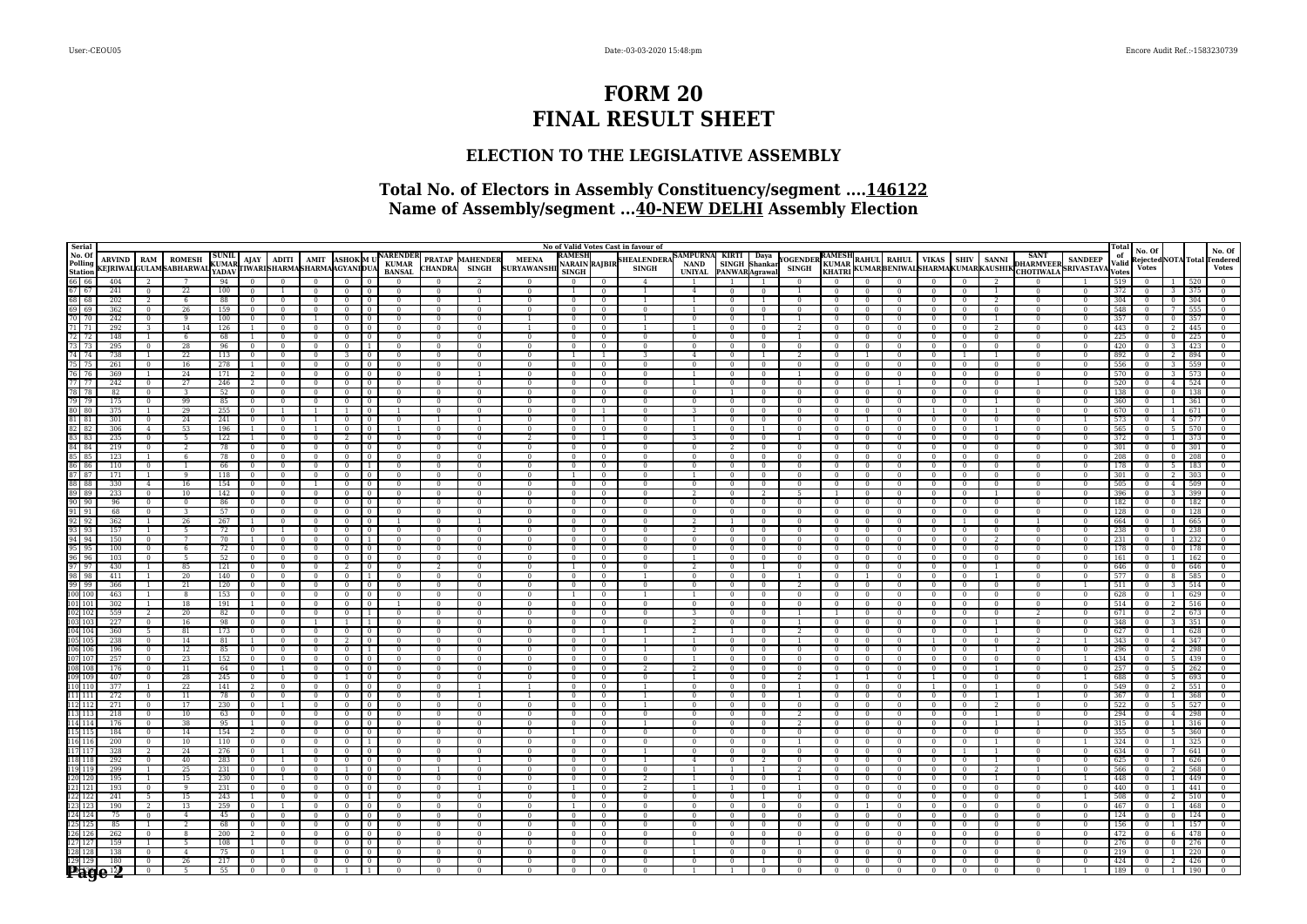# **FORM 20 FINAL RESULT SHEET**

## **ELECTION TO THE LEGISLATIVE ASSEMBLY**

## **Total No. of Electors in Assembly Constituency/segment ....146122 Name of Assembly/segment ...40-NEW DELHI Assembly Election**

| Serial                                   |                    |                      |                              |                       |                              |                |                            |                                |                            |                            |                            |                        |                          |                               |                                  | No of Valid Votes Cast in favour of |                                           |                            |                                |                          |                            |                            |                                                                |                                  |                          |                          |                                                   |                | Total        |              |               |            |                                        |
|------------------------------------------|--------------------|----------------------|------------------------------|-----------------------|------------------------------|----------------|----------------------------|--------------------------------|----------------------------|----------------------------|----------------------------|------------------------|--------------------------|-------------------------------|----------------------------------|-------------------------------------|-------------------------------------------|----------------------------|--------------------------------|--------------------------|----------------------------|----------------------------|----------------------------------------------------------------|----------------------------------|--------------------------|--------------------------|---------------------------------------------------|----------------|--------------|--------------|---------------|------------|----------------------------------------|
| No. Of<br>Polling                        | <b>ARVIND</b>      | RAM                  | <b>ROMESH</b>                | <b>SUNIL</b><br>KUMAR |                              | $AIAY$   ADITI |                            |                                |                            | AMIT ASHOK M UNARENDER     |                            | <b>PRATAP MAHENDER</b> | <b>MEENA</b>             | <b>RAMESH</b>                 |                                  | <b>HEALENDER</b>                    | SAMPURNA KIRTI Daya<br>NAND SINGH Shankar |                            |                                | YOGENDER RAMESH          | <b>KUMAR</b>               |                            |                                                                |                                  |                          |                          | SANT<br>DHARMVEER SANDEEP<br>CHOTIWALA SRIVASTAVA |                | of<br>Valid  | No. Of       |               |            | No. Of<br>Rejected NOTA Total Tendered |
| <b>Station</b>                           |                    |                      | <b>EJRIWALGULAMSABHARWAL</b> | YADAV                 |                              |                | TWARISHARMASHARMAAGYANIDUA |                                |                            | <b>BANSAL</b>              | <b>CHANDRA</b>             | <b>SINGH</b>           | <b>SURYAWANSH</b>        | NARAIN RAJBIR<br><b>SINGH</b> |                                  | <b>SINGH</b>                        | <b>UNIYAL</b>                             | PANWARAqrawal              |                                | <b>SINGH</b>             | KHATRI                     |                            | RAHUL RAHUL VIKAS SHIV SANNI<br>KUMARBENIWALSHARMAKUMARKAUSHIK |                                  |                          |                          |                                                   |                | <b>Votes</b> | <b>Votes</b> |               |            | <b>Votes</b>                           |
| 66 66                                    | 404                |                      |                              | 94                    |                              |                |                            | $\Omega$                       |                            | $\Omega$                   |                            |                        |                          | $\Omega$                      | $\Omega$                         | $\overline{4}$                      |                                           |                            |                                |                          | $^{\circ}$                 |                            |                                                                | $\Omega$                         | $\Omega$                 |                          |                                                   |                | 519          |              |               |            |                                        |
| 67 67                                    | 241                | $\Omega$             | 22                           | $100^{-7}$            | $\overline{0}$               |                | $\Omega$                   | $\overline{0}$                 | $\Omega$                   | $\Omega$                   | $\Omega$                   | $\Omega$               | $\Omega$                 |                               | $\overline{0}$                   | $\mathbf{1}$                        | $\overline{4}$                            | $\Omega$                   | $\Omega$                       |                          | $\Omega$                   | $\Omega$                   |                                                                | $\Omega$                         | $\Omega$                 |                          | $\Omega$                                          | $\Omega$       | 372          |              |               | 375        | $\Omega$                               |
| 68 68                                    | 202                | $\overline{2}$       | -6                           | 88                    | $\overline{0}$               | $\overline{0}$ | $\overline{0}$             | $\overline{0}$                 | $\overline{0}$             | $\overline{0}$             | $\sqrt{2}$                 |                        | $\sqrt{2}$               | $\sqrt{2}$                    | $\sqrt{ }$                       | 1                                   |                                           | $\overline{0}$             | $\overline{1}$                 | $\Omega$                 | $\sqrt{2}$                 | $\overline{0}$             | $\Omega$                                                       | $\sqrt{2}$                       | $\sqrt{ }$               | $\overline{\phantom{a}}$ | $\overline{0}$                                    | $\overline{0}$ | 304          |              | $\Omega$      | 304        | $\overline{0}$                         |
| $69$ 69                                  | 362                | $\Omega$             | 26                           | 159                   | $\overline{0}$               |                | $\mathbf{0}$               | $\overline{0}$                 | $\Omega$                   | $\Omega$                   | $\Omega$                   | $\Omega$               | $\Omega$                 | $\Omega$                      | $\Omega$                         | $\mathbf{0}$                        |                                           | $\Omega$                   | $\mathbf{0}$                   |                          | $\Omega$                   | $\Omega$                   |                                                                | $\Omega$                         | $\Omega$                 | $\Omega$                 | $\Omega$                                          | $\Omega$       | 548          |              |               | 555        |                                        |
| 70 70                                    | 242                | $\mathbf{0}$         | 9                            | 100                   | $\mathbf{0}$                 | $\mathbf{0}$   | $\mathbf{1}$               | $\overline{0}$                 |                            | $\mathbf{0}$               | $\mathbf{0}$               | $\Omega$               |                          | $\mathbf{0}$                  | $\mathbf{0}$                     |                                     | $\bf{0}$                                  | $\mathbf{0}$               | 1                              |                          | $\mathbf{0}$               | $\mathbf{0}$               | $\mathbf{0}$                                                   | $\mathbf{0}$                     | $\Omega$                 |                          | $\mathbf{0}$                                      | 0              | 357          |              |               | 357        |                                        |
| 71 71                                    | 292                | -3                   | 14                           | 126                   | $\overline{1}$               | $\Omega$       | $\overline{0}$             | $\mathbf{0}$                   |                            | $\Omega$                   | $\Omega$                   | $\Omega$               |                          | $\Omega$                      | $\Omega$                         |                                     | -1.                                       | $\Omega$                   | $\overline{0}$                 | -2                       | $\Omega$                   | $\Omega$                   | $^{\circ}$                                                     | $\Omega$                         | $\Omega$                 | $\mathcal{L}$            | $\Omega$                                          | $\Omega$       | 443          |              |               | 445        |                                        |
| 72 72                                    | 148                | $\overline{1}$       | - 6                          | 68                    | $\mathbf{1}$                 | $\Omega$       | $\Omega$                   | $\mathbf{0}$                   |                            | $\Omega$                   | $\Omega$                   | $\Omega$               | $\mathbf{0}$             | $\Omega$                      | $\Omega$                         | $\mathbf{0}$                        | $\mathbf{0}$                              | $\overline{0}$             | $\mathbf{0}$                   |                          | $\Omega$                   | $\Omega$                   | $^{\circ}$                                                     | $\Omega$                         | $\Omega$                 | $\Omega$                 | $\mathbf{0}$                                      | $\Omega$       | 225          |              |               | 225        |                                        |
| 73 73                                    | 295                | $\overline{0}$       | 28                           | 96                    | $\overline{0}$               | $\Omega$       | $\overline{0}$             | $\overline{0}$                 |                            | $\mathbf{0}$               | $\overline{0}$             | $\mathbf{0}$           | $\mathbf{0}$             | $\mathbf{0}$                  | $\overline{0}$                   | $\mathbf{0}$                        | $\overline{0}$                            | $\mathbf{0}$               | $\overline{0}$                 |                          | $\Omega$                   |                            |                                                                | $\overline{0}$                   | $\overline{0}$           | $\mathbf{0}$             | $\mathbf{0}$                                      | $\Omega$       | 420          |              |               |            |                                        |
| 74 74                                    | 738                | $\overline{1}$       | 22                           | 113                   | $\overline{0}$               | $\overline{0}$ | $\overline{0}$             | $\overline{3}$                 | $\overline{0}$             | $\sqrt{ }$                 | $\sqrt{2}$                 | $\Omega$               | $\sqrt{2}$               |                               | $\overline{1}$                   | 3                                   | $\overline{4}$                            | $\sqrt{ }$                 | $\overline{1}$                 |                          | $\overline{0}$             |                            | $\overline{0}$                                                 | $\overline{0}$                   | $\overline{1}$           |                          | $\sqrt{2}$                                        | $\Omega$       | 892          |              |               | 894        |                                        |
| 75 75                                    | 261                | $\Omega$             | 16                           | 278                   | $\mathbf{1}$                 | $\Omega$       | $\Omega$                   | $\overline{0}$                 | $\overline{0}$             | $\Omega$                   | $\Omega$                   | $\Omega$               | $\Omega$                 | $\Omega$                      | $\Omega$                         | $\Omega$                            | $\Omega$                                  | $\Omega$                   | $\overline{0}$                 | $\Omega$                 | $\mathbf{0}$               | $\overline{0}$             | $\Omega$                                                       | $\Omega$                         | $\overline{0}$           | $\Omega$                 | $\Omega$                                          | $\Omega$       | 556          |              |               |            |                                        |
| 76 76                                    | 369                | $\overline{1}$       | 24                           | 171                   | $\overline{2}$               | $\mathbf{0}$   | $\mathbf{0}$               | $\overline{0}$                 | $\overline{0}$             | $\mathbf{0}$               | $\mathbf{0}$               |                        | $\mathbf{0}$             | $\Omega$                      | $\overline{0}$                   | $\overline{0}$                      | $\mathbf{1}$                              | $\mathbf{0}$               | $\mathbf{0}$                   |                          | $\mathbf{0}$               | $\mathbf{0}$               | $\mathbf{0}$                                                   | $\mathbf{0}$                     | $\mathbf{0}$             | $\mathbf{0}$             | $\mathbf{0}$                                      | $\Omega$       | 570          |              |               |            |                                        |
| 77 77                                    | 242                | $\mathbf{0}$         | 27                           | 246                   | $\overline{2}$               | $\Omega$       | $\Omega$                   | $\overline{0}$                 |                            | $\Omega$                   | $\Omega$                   | $\mathbf{0}$           | $\Omega$                 | $\mathbf{0}$                  | $\overline{0}$                   | $\Omega$                            |                                           | $\Omega$                   | $\overline{0}$                 | $\Omega$                 | $\mathbf{0}$               | $\overline{0}$             |                                                                | $\overline{0}$                   | $\mathbf{0}$             | $\Omega$                 |                                                   |                | 520          |              |               | 524        |                                        |
| 78 78                                    | 82                 | $\mathbf{0}$         | - 3                          | 52                    | $\overline{0}$               | $\Omega$       | $\overline{0}$             | $\mathbf{0}$                   | $\Omega$                   | $\Omega$                   | $\Omega$                   | $\Omega$               | $\Omega$                 | $\Omega$                      | $\overline{0}$                   | $\Omega$                            | $\Omega$                                  | $\overline{1}$             | $\overline{0}$                 | $\Omega$                 | $\Omega$                   | $\overline{0}$             | $\Omega$                                                       | $\Omega$                         | $\Omega$                 | $\Omega$                 | $\Omega$                                          | $\Omega$       | 138          |              |               | 138        | $\Omega$                               |
| 79 79                                    | 175                | $\mathbf{0}$         | 99                           | 85                    | $\overline{0}$               | $\Omega$       | $\Omega$                   | $\overline{0}$                 | - 0                        | $\Omega$                   | $\Omega$                   | $\Omega$               | $\mathbf{0}$             | $\Omega$                      | $\Omega$                         | $\mathbf{0}$                        | $\Omega$                                  | $\overline{0}$             | $\overline{0}$                 | $\mathbf{0}$             | $\Omega$                   | $\Omega$                   | $\Omega$                                                       | $\mathbf{0}$                     | $\Omega$                 | -1                       | $\mathbf{0}$                                      | $\Omega$       | 360          |              |               | 361        |                                        |
| 80 80                                    | 375                | $\mathbf{1}$         | 29                           | 255                   | $\mathbf{0}$                 |                |                            |                                |                            |                            | $\bf{0}$                   | $\Omega$               | $\mathbf{0}$             | $\mathbf{0}$                  | $\overline{1}$                   | $\overline{0}$                      | 3                                         | $\overline{0}$             | $\overline{0}$                 | $\overline{0}$           | $\Omega$                   | $\Omega$                   |                                                                |                                  | $\mathbf{0}$             |                          | $\mathbf{0}$                                      |                | 670          |              |               |            |                                        |
| 81 81                                    | 301                | $\overline{0}$       | 24                           | 241                   | $\Omega$                     |                |                            | $\mathbf{0}$                   |                            | $\Omega$                   |                            |                        | $\Omega$                 | $\Omega$                      | $\overline{1}$                   | $\Omega$                            |                                           | $\Omega$                   | $\Omega$                       | $\Omega$                 | $\Omega$                   |                            |                                                                | $\Omega$                         | $\Omega$                 | $\Omega$                 | $\Omega$                                          |                | 573          |              |               |            |                                        |
| 82 82                                    | 306                | $\overline{4}$       | 53                           | 196                   | $\mathbf{1}$                 | $\Omega$       |                            | $\overline{0}$                 | $\Omega$                   |                            | $\Omega$                   | $\Omega$               | $\Omega$                 | $\Omega$                      | $\overline{0}$                   | $\Omega$                            | $\mathbf{1}$                              | $\Omega$                   | $\overline{1}$                 | $\Omega$                 | $\Omega$                   | $\overline{0}$             | $\Omega$                                                       | $\overline{0}$                   | $\Omega$                 |                          | $\Omega$                                          | $\Omega$       | 565          |              |               | 570        |                                        |
| 83 83                                    | 235                | $\mathbf{0}$         | $\overline{5}$               | 122                   | $\mathbf{1}$                 | $\Omega$       | $\mathbf{0}$               | $\overline{2}$                 | $\overline{0}$             | $\mathbf{0}$               | $\Omega$                   | $\Omega$               | $\mathcal{D}$            | $\Omega$                      | $\overline{1}$                   | $\mathbf{0}$                        | $\overline{\mathbf{3}}$                   | $\mathbf{0}$               | $\overline{0}$                 |                          | $\mathbf{0}$               | $\mathbf{0}$               | $\Omega$                                                       | $\bf{0}$                         | $\mathbf{0}$             | $\Omega$                 | $\mathbf{0}$                                      | $\mathbf{0}$   | 372          |              |               | 373        |                                        |
| 84 84                                    | 219                | $\overline{0}$       |                              | 78                    | $\overline{0}$               | $\overline{0}$ | $\overline{0}$             | $\overline{0}$                 | $\Omega$                   | $\Omega$                   | $\overline{0}$             | $\Omega$               | $\overline{0}$           | $\overline{0}$                | $\overline{0}$                   | $\overline{0}$                      | $\overline{0}$                            |                            | $\overline{0}$                 | $\overline{0}$           | $\overline{0}$             | $\Omega$                   | $\Omega$                                                       | $\Omega$                         | $\overline{0}$           | $\Omega$                 | $\overline{0}$                                    | $\overline{0}$ | 301          |              |               | 301        |                                        |
| 85 85                                    | 123                | $\overline{1}$       | -6                           | 78                    | $\overline{0}$               | $\Omega$       | $\overline{0}$             | $\overline{0}$                 | $\Omega$                   | $\Omega$                   | $\Omega$                   | $\Omega$               | $\Omega$                 | $\Omega$                      | $\Omega$                         | $\Omega$                            | $\overline{0}$                            | $\Omega$                   | $\overline{0}$                 | $\sqrt{ }$               | $\overline{0}$             | $\Omega$                   | $\Omega$                                                       | $\Omega$                         | $\Omega$                 | $\Omega$                 | $\Omega$                                          | $\Omega$       | 208          |              |               | 208        |                                        |
| 86 86<br>87 87                           | 110                | $\Omega$             | $\mathbf{1}$                 | 66                    | $\overline{0}$               | $\Omega$       | $\Omega$                   | $\mathbf{0}$                   |                            | $\Omega$                   | $\Omega$                   | $\Omega$               | $\Omega$                 | $\Omega$                      | $\Omega$                         | $\Omega$                            | $\Omega$                                  | $\mathbf{0}$               | $\overline{0}$                 | $\Omega$                 | $\Omega$                   | $\Omega$                   | $\Omega$                                                       | $\Omega$                         | $\Omega$                 | $\Omega$                 | $\Omega$                                          | $\Omega$       | 178          |              |               |            |                                        |
| 88 88                                    | 171<br>330         | -1<br>$\overline{4}$ | -9<br>16                     | 118<br>154            | $\mathbf{0}$<br>$\mathbf{0}$ | $\mathbf{0}$   | $\mathbf{0}$               | $\overline{0}$<br>$\mathbf{0}$ | $\overline{0}$<br>$\Omega$ | $\mathbf{0}$<br>$\Omega$   | $\mathbf{0}$<br>$\Omega$   | $\mathbf{0}$           | $\mathbf{0}$<br>$\Omega$ |                               | $\overline{0}$<br>$\overline{0}$ | $\mathbf{0}$<br>$\Omega$            | $\overline{1}$<br>$\overline{0}$          | $\overline{0}$<br>$\Omega$ | $\mathbf{0}$<br>$\overline{0}$ | $\mathbf{0}$<br>$\Omega$ | $\mathbf{0}$<br>$\Omega$   | $\mathbf{0}$<br>$\Omega$   | $\Omega$                                                       | $\overline{0}$<br>$\overline{0}$ | $\mathbf{0}$<br>$\Omega$ | $\mathbf{0}$<br>$\Omega$ | $\mathbf{0}$<br>$\Omega$                          | $\Omega$       | 301<br>505   |              |               |            |                                        |
| 89 89                                    | 233                | $\overline{0}$       | 10                           | 142                   | $\overline{0}$               | $\Omega$       | $\Omega$                   | $\overline{0}$                 | $\overline{0}$             | $\overline{0}$             | $\Omega$                   | $\Omega$               | $\Omega$                 | $\overline{0}$                | $\overline{0}$                   | $\Omega$                            | $\overline{2}$                            | $\Omega$                   | $\overline{2}$                 |                          |                            | $\overline{0}$             | $\Omega$                                                       | $\overline{0}$                   | $\overline{0}$           |                          | $\Omega$                                          | $\Omega$       | 396          |              |               | 500        |                                        |
| 90   90                                  | 96                 | $\sqrt{0}$           | $\overline{0}$               | 86                    | $\overline{0}$               | $\overline{0}$ | $\overline{0}$             | $\overline{0}$                 | $\overline{0}$             | $\overline{0}$             | $\sqrt{2}$                 | $\Omega$               | $\sqrt{2}$               | $\overline{0}$                | $\sqrt{0}$                       | $\overline{0}$                      | $\overline{0}$                            | $\sqrt{ }$                 | $\overline{0}$                 | $\overline{0}$           | $\overline{0}$             | $\overline{0}$             | $\overline{0}$                                                 | $\overline{0}$                   | $\overline{0}$           | $\overline{0}$           | $\overline{0}$                                    | $\sqrt{2}$     | 182          |              |               | 182        |                                        |
| $91$ $91$                                | 68                 | $\Omega$             |                              | 57                    | $\mathbf{0}$                 |                |                            | $\overline{0}$                 | $\Omega$                   | $\Omega$                   | $\Omega$                   | $\Omega$               | $\Omega$                 | $\Omega$                      | $\overline{0}$                   | $\Omega$                            | $\overline{0}$                            | $\Omega$                   | $\mathbf{0}$                   | $\Omega$                 | $\mathbf{0}$               | $\Omega$                   | $\Omega$                                                       | $\overline{0}$                   | $\Omega$                 | $\Omega$                 | $\Omega$                                          |                | 128          |              |               |            |                                        |
| $92$ 92                                  | 362                | $\overline{1}$       | 26                           | 267                   | $\mathbf{1}$                 | $\Omega$       | $\Omega$                   | $\mathbf{0}$                   |                            | -1                         | $\Omega$                   |                        | $\mathbf{0}$             | $\Omega$                      | $\Omega$                         | $\mathbf{0}$                        | -2                                        | -1                         | $\overline{0}$                 | $\Omega$                 | $\Omega$                   | $\Omega$                   | $\Omega$                                                       | $^{\circ}$                       | -1                       | $\Omega$                 | л.                                                | $\Omega$       | 664          |              |               | 665        |                                        |
| $93$ 93                                  | 157                | $\overline{1}$       | - 5                          | 72                    | $\mathbf{0}$                 |                | $\Omega$                   | $\overline{0}$                 |                            | $\overline{0}$             | $\Omega$                   | $\overline{0}$         | $\mathbf{0}$             | $\overline{0}$                | $\overline{0}$                   | $\overline{0}$                      | 2                                         | $\bf{0}$                   | $\overline{0}$                 | $\overline{0}$           | $\mathbf{0}$               | $\Omega$                   | $\Omega$                                                       | $\overline{0}$                   | $\overline{0}$           | $\bf{0}$                 | $\mathbf{0}$                                      | $\Omega$       | 238          |              |               | 238        |                                        |
| $94$ $94$                                | 150                | $\overline{0}$       | 7                            | 70                    | $\mathbf{1}$                 |                |                            | $\overline{0}$                 | $\overline{1}$             | $\Omega$                   | $\overline{0}$             | $\Omega$               | $\mathbf{0}$             | $\mathbf{0}$                  | $\overline{0}$                   | $\Omega$                            | $\overline{0}$                            | $\Omega$                   | $\Omega$                       | $\Omega$                 | $\mathbf{0}$               | $\Omega$                   | $\Omega$                                                       | $\overline{0}$                   | $\Omega$                 | $\overline{2}$           | $\Omega$                                          | $\Omega$       | 231          |              |               | 232        |                                        |
| $95 \ 95$                                | 100                | $\Omega$             | - 6                          | 72                    | $\overline{0}$               |                |                            | $\overline{0}$                 | $\Omega$                   | $\Omega$                   | $\Omega$                   |                        | $\Omega$                 | $\Omega$                      | $\Omega$                         | $\Omega$                            | $\overline{0}$                            | $\Omega$                   | $\overline{0}$                 |                          | $\Omega$                   |                            |                                                                | $\Omega$                         | $\Omega$                 | $\Omega$                 | $\Omega$                                          |                | 178          |              |               |            |                                        |
| $96$ $96$                                | 103                | $\overline{0}$       | - 5                          | 52                    | $\overline{0}$               |                | $\Omega$                   | $\overline{0}$                 | $\Omega$                   | $\Omega$                   | $\overline{0}$             | $\Omega$               | $\overline{0}$           | $\Omega$                      | $\overline{0}$                   | $\Omega$                            | $\overline{1}$                            | $\Omega$                   | $\overline{0}$                 | $\Omega$                 | $\Omega$                   | $\overline{0}$             | $\Omega$                                                       | $\overline{0}$                   | $\Omega$                 | $\Omega$                 | $\Omega$                                          | $\Omega$       | 161          |              |               |            |                                        |
| 97 97                                    | 430                |                      | 85                           | 121                   | $\overline{0}$               |                | $\overline{0}$             | $\overline{2}$                 | $\overline{0}$             | $\Omega$                   |                            |                        | $\overline{0}$           |                               | $\Omega$                         | $\overline{0}$                      | $\overline{2}$                            | $\mathbf{0}$               |                                | $\Omega$                 | $\overline{0}$             | $\Omega$                   |                                                                | $\Omega$                         | $\overline{0}$           |                          | $\overline{0}$                                    | $\mathbf{0}$   | 646          |              |               | 646        |                                        |
| 98 98                                    | 411                | $\overline{1}$       | 20                           | 140                   | $\overline{0}$               | $\overline{0}$ | $\mathbf{0}$               | $\overline{0}$                 | $\overline{1}$             | $\Omega$                   | $\overline{0}$             | $\mathbf{0}$           | $\Omega$                 | $\mathbf{0}$                  | $\overline{0}$                   |                                     | $\overline{0}$                            | $\Omega$                   | $\overline{0}$                 |                          | $\mathbf{0}$               |                            | $\Omega$                                                       | $\overline{0}$                   | $\Omega$                 |                          | $\Omega$                                          | $\Omega$       | 577          |              |               | 585        |                                        |
| 99 99                                    | 366                | $\overline{1}$       | 21                           | 120                   | $\overline{0}$               | $\overline{0}$ | $\overline{0}$             | $\mathbf{0}$                   | $\Omega$                   | $\Omega$                   | $\overline{0}$             | $\Omega$               | $\Omega$                 | $\mathbf{0}$                  | $\overline{0}$                   | $\Omega$                            | $\overline{0}$                            | $\Omega$                   | $\overline{0}$                 |                          | $\mathbf{0}$               | $\Omega$                   | $\Omega$                                                       | $\overline{0}$                   | $\Omega$                 | $\Omega$                 | $\Omega$                                          |                | 511          |              |               | 514        |                                        |
| 100 100                                  | 463                | $\overline{1}$       | $\overline{8}$               | 153                   | $\overline{0}$               | $\sqrt{0}$     | $\overline{0}$             | $\overline{0}$                 | $\overline{0}$             | $\overline{0}$             | $\sqrt{2}$                 | $\Omega$               | $\sqrt{2}$               |                               | $\overline{0}$                   |                                     | $\mathbf{1}$                              | $\overline{0}$             | $\overline{0}$                 | $\overline{0}$           | $\overline{0}$             | $\overline{0}$             | $\Omega$                                                       | $\overline{0}$                   | $\sqrt{0}$               | $\sqrt{0}$               | $\overline{0}$                                    | $\Omega$       | 628          |              |               | 629        |                                        |
| 101 101                                  | 302                | $\overline{1}$       | 18                           | 191                   | $\mathbf{1}$                 | $\Omega$       | $\Omega$                   | $\overline{0}$                 | $\Omega$                   | -1                         | $\Omega$                   | $\Omega$               | $\Omega$                 | $\Omega$                      | $\Omega$                         | $\Omega$                            | $\Omega$                                  | $\Omega$                   | $\Omega$                       | $\Omega$                 | $\Omega$                   | $\Omega$                   | $\Omega$                                                       | $\Omega$                         | $\Omega$                 | $\Omega$                 | $\Omega$                                          | $\Omega$       | 514          |              |               | 516        |                                        |
|                                          | 559                | $2^{1}$              | 20                           | 82                    | $\Omega$                     |                |                            | $\Omega$                       |                            | $\Omega$                   | $\Omega$                   | $\Omega$               | $\Omega$                 | $\Omega$                      | $\Omega$                         | $\Omega$                            | 3                                         | $\Omega$                   | $\Omega$                       |                          |                            |                            |                                                                | $\Omega$                         | $\Omega$                 | $\Omega$                 | $\mathcal{P}$                                     |                | 671          |              |               |            |                                        |
| $\frac{102}{103} \frac{102}{103}$        | 227                | $\Omega$             | 16                           | 98                    | $\mathbf{0}$                 | $\Omega$       |                            | $\mathbf{1}$                   | $\overline{1}$             | $\Omega$                   | $\Omega$                   | $\Omega$               | $\Omega$                 | $\Omega$                      | $\Omega$                         | $\Omega$                            | 2                                         | $\Omega$                   | $\overline{0}$                 |                          | $\Omega$                   | $\overline{0}$             | $\Omega$                                                       | $\Omega$                         | $\mathbf{0}$             |                          | $\Omega$                                          | $\Omega$       | 348          |              |               | 351        |                                        |
| 104 104                                  | 360                | $\overline{5}$       | 81                           | 173                   | $\overline{0}$               | $\Omega$       | $\Omega$                   | $\overline{0}$                 | $\overline{0}$             | $\Omega$                   | $\Omega$                   | $\Omega$               | $\Omega$                 | $\overline{0}$                |                                  |                                     | $\overline{2}$                            |                            | $\overline{0}$                 |                          | $\Omega$                   | $\overline{0}$             | $\Omega$                                                       | $\overline{0}$                   | $\overline{0}$           |                          | $\Omega$                                          | $\Omega$       | 627          |              |               | 628        |                                        |
| 105 105                                  | 238                | $\overline{0}$       | 14                           | 81                    | $\overline{1}$               | $\Omega$       | $\mathbf{0}$               | $\overline{2}$                 | $\overline{0}$             | $\overline{0}$             | $\Omega$                   | $\Omega$               | $\overline{0}$           | $\overline{0}$                | $\overline{0}$                   |                                     |                                           |                            | $\overline{0}$                 |                          | $\Omega$                   | $\Omega$                   | $\Omega$                                                       |                                  | $\overline{0}$           | $\overline{0}$           |                                                   |                | 343          |              |               | 347        |                                        |
| 106 106                                  | 196                | $\mathbf{0}$         | 12                           | 85                    | $\overline{0}$               | $\Omega$       | $\mathbf{0}$               | $\overline{0}$                 | $\overline{1}$             | $\overline{0}$             | $\overline{0}$             | $\bf{0}$               | $\mathbf{0}$             | $\bf{0}$                      | $\mathbf{0}$                     |                                     | $\mathbf{0}$                              | $\mathbf{0}$               | $\overline{0}$                 | $\mathbf{0}$             | $\bf{0}$                   | $\mathbf{0}$               | $\Omega$                                                       | $\mathbf{0}$                     | $\mathbf{0}$             |                          | $\mathbf{0}$                                      |                | 296          |              |               |            |                                        |
| 107 107                                  | 257                | $\overline{0}$       | 23                           | 152                   | $\overline{0}$               | $\Omega$       | $\Omega$                   | $\mathbf{0}$                   |                            | $\Omega$                   | $\Omega$                   | $\Omega$               | $\Omega$                 | $\overline{0}$                | $\Omega$                         | $\overline{0}$                      | -1.                                       | $\overline{0}$             | $\overline{0}$                 | $\Omega$                 | $\mathbf{0}$               | $\Omega$                   | $\Omega$                                                       | $\overline{0}$                   | $\Omega$                 | $\Omega$                 | $\Omega$                                          |                | 434          |              |               | 439        |                                        |
| 108 108                                  | 176                | $\Omega$             | 11                           | 64                    | $\overline{0}$               |                | $\Omega$                   | $\mathbf{0}$                   |                            | $\Omega$                   | $\Omega$                   | $\Omega$               | $\Omega$                 | $\Omega$                      | $\Omega$                         | $\overline{2}$                      | $2^{\circ}$                               | $\Omega$                   | $\mathbf{0}$                   | $\Omega$                 | $\Omega$                   | $\Omega$                   | $\Omega$                                                       | $\Omega$                         | $\Omega$                 |                          | $\mathbf{0}$                                      |                | 257          |              |               | 262        |                                        |
| 109 109                                  | 407                | $\overline{0}$       | 28                           | 245                   | $\mathbf{0}$                 |                |                            | $\mathbf{1}$                   | $\Omega$                   | $\Omega$                   | $\Omega$                   | $\Omega$               | $\Omega$                 | $\Omega$                      | $\overline{0}$                   | $\Omega$                            |                                           | $\Omega$                   | $\mathbf{0}$                   |                          |                            |                            |                                                                |                                  | $\Omega$                 | $\Omega$                 | $\Omega$                                          |                | 688          |              |               | 693        |                                        |
| 110 110                                  | 377                | $\overline{1}$       | 22                           | 141                   | $\overline{2}$               |                | $\overline{0}$             | $\overline{0}$                 | $\Omega$                   | $\Omega$                   | $\overline{0}$             |                        |                          | $\overline{0}$                | $\overline{0}$                   |                                     | $\overline{0}$                            | $\overline{0}$             | $\overline{0}$                 |                          | $\overline{0}$             | $\overline{0}$             | $\Omega$                                                       |                                  | $\overline{0}$           |                          | $\overline{0}$                                    | $\Omega$       | 549          |              |               |            |                                        |
| 111 111                                  | 272                | $\sqrt{0}$           | $\overline{11}$              | 78                    | $\overline{0}$               |                | $\overline{0}$             | $\overline{0}$                 | $\sqrt{0}$                 | $\overline{0}$             | $\sqrt{2}$                 |                        |                          | $\overline{0}$                | $\sqrt{0}$                       |                                     | $\overline{0}$                            | $\overline{0}$             | $\overline{0}$                 |                          | $\overline{0}$             | $\overline{0}$             |                                                                | $\sqrt{0}$                       | $\overline{0}$           |                          |                                                   | $\overline{0}$ | 367          |              |               | 368        |                                        |
| 112 112                                  | 271                | $\Omega$             | 17                           | 230                   | $\overline{0}$               |                | $\mathbf{0}$               | $\overline{0}$                 | $\Omega$                   | $\Omega$                   | $\Omega$                   | $\Omega$               | $\Omega$                 | $\Omega$                      | $\Omega$                         |                                     | $\overline{0}$                            | $\Omega$                   | $\mathbf{0}$                   | $\Omega$                 | $\Omega$                   | $\Omega$                   | $^{\circ}$                                                     | $\Omega$                         | $\Omega$                 |                          | $\bf{0}$                                          | $\Omega$       | 522          |              |               | 527        |                                        |
| 113 113                                  | 218                | $\mathbf{0}$         | 10                           | 63                    | $\overline{0}$               | $\Omega$       | $\mathbf{0}$               | $\overline{0}$                 |                            | $\Omega$                   | $\mathbf{0}$               | $\Omega$               | $\Omega$                 | $\Omega$                      | $\mathbf{0}$                     | $\mathbf{0}$                        | $\bf{0}$                                  | $\mathbf{0}$               | $\overline{0}$                 |                          | $\bf{0}$                   | $\mathbf{0}$               | $\Omega$                                                       | $\Omega$                         | $\Omega$                 |                          | $\Omega$                                          | 0              | 294          |              |               |            |                                        |
| 114 114                                  | 176                | $\Omega$             | 38                           | 95                    | $\mathbf{1}$                 | $\Omega$       | $\overline{0}$             | $\mathbf{0}$                   | $\Omega$                   | $\Omega$                   | $\Omega$                   | $\Omega$               | $\Omega$                 | $\Omega$                      | $\Omega$                         | 1                                   | $\Omega$                                  | $\Omega$                   | $\overline{0}$                 | $\overline{2}$           | $\overline{0}$             | $\overline{0}$             | $\Omega$                                                       | $\Omega$                         | $\Omega$                 |                          | 1                                                 | $\Omega$       | 315          |              |               | 316        |                                        |
| 115 115                                  | 184                | $\Omega$             | 14                           | 154                   | 2                            | $\Omega$       | $\Omega$                   | $\overline{0}$                 |                            | $\Omega$                   | $\Omega$                   | $\Omega$               | $\Omega$                 |                               | $\Omega$                         | $\mathbf{0}$                        | $\Omega$                                  | $\overline{0}$             | $\overline{0}$                 | $\Omega$                 | $\Omega$                   | $\Omega$                   | $\Omega$                                                       | $\Omega$                         | $\Omega$                 | $\Omega$                 | $\Omega$                                          | $\Omega$       | 355          |              |               | 360        |                                        |
| 116 116<br>117 117                       | 200<br>328         | $\bf{0}$             | 10<br>24                     | 110<br>276            | $\overline{0}$               | $\Omega$       | $\Omega$<br>$\overline{0}$ | $\overline{0}$                 | $\overline{0}$             | $\Omega$<br>$\overline{0}$ | $\Omega$<br>$\overline{0}$ | $\Omega$<br>$\Omega$   | $\Omega$<br>$\Omega$     | $\Omega$<br>$\sqrt{2}$        | $\Omega$                         | $\mathbf{0}$                        | $\mathbf{0}$                              | $\Omega$<br>$\sqrt{ }$     | $\mathbf{0}$<br>$\overline{0}$ | $\Omega$                 | $\Omega$<br>$\overline{0}$ | $\Omega$<br>$\overline{0}$ | $\overline{0}$                                                 | $\Omega$                         | $\Omega$                 |                          | $\mathbf{0}$<br>$\Omega$                          |                | 324<br>634   |              |               |            |                                        |
|                                          |                    | 2<br>$\Omega$        |                              | 283                   | $\overline{0}$               |                | $\Omega$                   | $\overline{0}$                 | $^{\circ}$                 | $\Omega$                   | $\Omega$                   |                        | $\Omega$                 | $\Omega$                      | $\overline{0}$<br>$\Omega$       |                                     | $\overline{0}$<br>$\mathbf{A}$            | $\Omega$                   | $\mathcal{D}$                  | $\Omega$                 | $\Omega$                   | $\Omega$                   | $\Omega$                                                       | $\overline{0}$<br>$\Omega$       | 1<br>$\Omega$            |                          | $\Omega$                                          |                |              |              |               | 641        |                                        |
| 118 118<br>119 119                       | 292<br>299         | $\overline{1}$       | 40                           |                       | $\mathbf{0}$                 |                |                            | $\mathbf{0}$<br>$\mathbf{1}$   | $\overline{0}$             | $\mathbf{0}$               |                            | $\Omega$               | $\Omega$                 | $\Omega$                      | $\Omega$                         | $\mathbf{0}$                        |                                           |                            | $\overline{1}$                 |                          | $\Omega$                   | $\Omega$                   | $\Omega$                                                       |                                  | $\mathbf{0}$             | $\overline{\phantom{a}}$ |                                                   |                | 625          |              |               | 626<br>568 |                                        |
|                                          |                    | $\overline{1}$       | 25                           | 231                   | $\overline{0}$               |                | $\mathbf{0}$<br>$\Omega$   |                                | $\Omega$                   | $\overline{0}$             | $\Omega$                   | $\Omega$               | $\mathbf{0}$             | $\Omega$                      |                                  |                                     |                                           | $\overline{0}$             | $\overline{0}$                 |                          | $\Omega$                   | $\mathbf{0}$               | $\Omega$                                                       | $\bf{0}$                         | $\mathbf{0}$             |                          | $\Omega$                                          |                | 566          |              |               | 449        |                                        |
| 120 120<br>121 121<br>122 122<br>123 123 | 195<br>193         | $\mathbf{0}$         | 15<br>-9                     | 230<br>231            | $\overline{0}$<br>$\Omega$   | $\Omega$       | $\Omega$                   | $\mathbf{0}$<br>$\mathbf{0}$   | $\Omega$                   | $\Omega$                   | $\Omega$                   |                        | $\Omega$                 |                               | $\bf{0}$<br>$\Omega$             | 2                                   |                                           | -1                         | $\overline{0}$                 |                          | $\mathbf{0}$               | $\overline{0}$             | $\Omega$                                                       | $\bf{0}$<br>$\overline{0}$       | $\Omega$                 | $\Omega$                 | $\Omega$                                          | $\Omega$       | 448<br>440   |              |               | 441        | $\Omega$                               |
|                                          | 241                | -5                   | 15                           | 243                   | $\overline{1}$               | $\Omega$       | $\overline{0}$             | $\overline{0}$                 | $\blacksquare$             | $\Omega$                   | $\Omega$                   | $\Omega$               | $\Omega$                 | $\Omega$                      | $\Omega$                         | $\Omega$                            | $\Omega$                                  | $\overline{0}$             | -1                             | $\overline{0}$           | $\Omega$                   | $\Omega$                   | $\Omega$                                                       | $\overline{0}$                   | $\overline{0}$           | $\Omega$                 | $\Omega$                                          |                | 508          |              |               | 510        |                                        |
|                                          | 190                | 2                    | 13                           | 259                   | $\mathbf{0}$                 |                |                            | $\mathbf{0}$                   | $\Omega$                   | $\mathbf{0}$               | $\Omega$                   | $\Omega$               | $\bf{0}$                 |                               | $\mathbf{0}$                     | $\overline{0}$                      | $\mathbf{0}$                              | $\overline{0}$             | $\mathbf{0}$                   | $\Omega$                 | $\Omega$                   |                            | $\Omega$                                                       | $\mathbf{0}$                     | $\mathbf{0}$             | $\mathbf{0}$             | $\bf{0}$                                          | $\Omega$       | 467          |              |               |            |                                        |
| 124 124                                  | 75                 | $\mathbf{0}$         | $\overline{4}$               | 45                    | $\mathbf{0}$                 |                |                            | $\mathbf{0}$                   |                            | $\Omega$                   | $\Omega$                   |                        | $\Omega$                 | $\Omega$                      | $\overline{0}$                   | $\Omega$                            | $\Omega$                                  | $\Omega$                   | $\overline{0}$                 |                          |                            |                            |                                                                | $\mathbf{0}$                     | $\mathbf{0}$             | $\Omega$                 | $\Omega$                                          |                | 124          |              |               | 124        |                                        |
| 125 125                                  | 85                 | $\overline{1}$       | $\overline{2}$               | 68                    | $\overline{0}$               |                | $\mathbf{0}$               | $\overline{0}$                 | $\overline{0}$             | $\Omega$                   | $\Omega$                   | $\Omega$               | $\Omega$                 | $\Omega$                      | $\overline{0}$                   | $\Omega$                            | $\overline{0}$                            | $\Omega$                   | $\overline{0}$                 | $\Omega$                 | $\Omega$                   | $\overline{0}$             | $\Omega$                                                       | $\overline{0}$                   | $\Omega$                 | $\Omega$                 | $\Omega$                                          | $\Omega$       | 156          |              |               | 157        |                                        |
| 126 126                                  | 262                | $\Omega$             | 8                            | 200                   | $\overline{2}$               |                | $\Omega$                   | $\overline{0}$                 | $\Omega$                   | $\Omega$                   | $\Omega$                   | $\Omega$               | $\Omega$                 | $\Omega$                      | $\overline{0}$                   | $\mathbf{0}$                        | $\overline{0}$                            | $\Omega$                   | $\overline{0}$                 | $\Omega$                 | $\Omega$                   | $\Omega$                   | $\Omega$                                                       | $\overline{0}$                   | $\Omega$                 | $\Omega$                 | $\Omega$                                          | $\Omega$       | 472          |              |               | 478        |                                        |
| 127 127                                  | 159                |                      |                              | 108                   |                              |                | $\overline{0}$             | $\overline{0}$                 |                            | $\bf{0}$                   | $\overline{0}$             | $\mathbf{0}$           | $\overline{0}$           | $\overline{0}$                | $\overline{0}$                   | $\overline{0}$                      |                                           | $\mathbf{0}$               | $\overline{0}$                 |                          | $\overline{0}$             | $\mathbf{0}$               | $\mathbf{0}$                                                   | $\overline{0}$                   | $\overline{0}$           | $\overline{0}$           | $\overline{0}$                                    | $\overline{0}$ | 276          |              |               | 276        |                                        |
|                                          | 138                | $\mathbf{0}$         | $\overline{4}$               | 75                    | $\overline{0}$               |                | $\overline{0}$             | $\Omega$                       | $\Omega$                   | $\Omega$                   | $\Omega$                   | $\Omega$               | $\overline{0}$           | $\Omega$                      | $\Omega$                         | $\Omega$                            | $\mathbf{1}$                              | $\Omega$                   | $\overline{0}$                 | $\Omega$                 | $\Omega$                   | $\Omega$                   | $\Omega$                                                       | $\Omega$                         | $\Omega$                 | $\Omega$                 | $\Omega$                                          | $\Omega$       | 219          |              |               | 220        |                                        |
| 128 128<br>129 129                       | 180                | $\overline{0}$       | 26                           | 217                   | $\Omega$                     |                | $\Omega$                   | $\mathbf{0}$                   |                            | $\Omega$                   | $\Omega$                   | $\Omega$               | $\Omega$                 | $\Omega$                      | $\Omega$                         | $\Omega$                            | $\Omega$                                  | $\Omega$                   | $\mathbf{1}$                   | $\Omega$                 | $\Omega$                   | $\mathbf{r}$               | $\Omega$                                                       | $\Omega$                         | $\Omega$                 | $\Omega$                 | $\Omega$                                          | $\Omega$       | 424          |              | $\mathcal{D}$ | 426        | $^{\circ}$                             |
|                                          |                    | $\overline{0}$       | 5                            | 55                    | $\overline{0}$               |                |                            |                                |                            | $\Omega$                   | $\Omega$                   |                        | $\Omega$                 | $\Omega$                      | $\Omega$                         | $\mathbf{0}$                        |                                           |                            | $\Omega$                       |                          |                            |                            |                                                                | $\Omega$                         | $\Omega$                 | $\Omega$                 | $\mathbf{0}$                                      |                | 189          |              |               | 190        |                                        |
|                                          | Page <sup>12</sup> |                      |                              |                       |                              |                |                            |                                |                            |                            |                            |                        |                          |                               |                                  |                                     |                                           |                            |                                |                          |                            |                            |                                                                |                                  |                          |                          |                                                   |                |              |              |               |            |                                        |